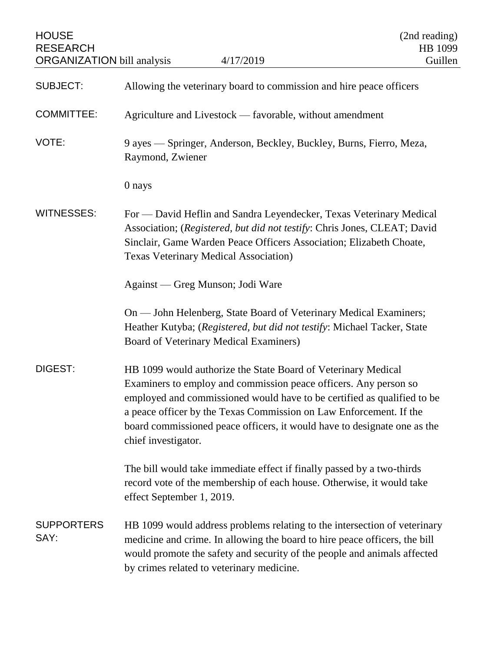| <b>HOUSE</b><br><b>RESEARCH</b><br><b>ORGANIZATION</b> bill analysis | 4/17/2019                                                                                                                                                                                                                                                                                                                                                                             | (2nd reading)<br>HB 1099<br>Guillen |
|----------------------------------------------------------------------|---------------------------------------------------------------------------------------------------------------------------------------------------------------------------------------------------------------------------------------------------------------------------------------------------------------------------------------------------------------------------------------|-------------------------------------|
| <b>SUBJECT:</b>                                                      | Allowing the veterinary board to commission and hire peace officers                                                                                                                                                                                                                                                                                                                   |                                     |
| <b>COMMITTEE:</b>                                                    | Agriculture and Livestock — favorable, without amendment                                                                                                                                                                                                                                                                                                                              |                                     |
| VOTE:                                                                | 9 ayes — Springer, Anderson, Beckley, Buckley, Burns, Fierro, Meza,<br>Raymond, Zwiener                                                                                                                                                                                                                                                                                               |                                     |
|                                                                      | 0 nays                                                                                                                                                                                                                                                                                                                                                                                |                                     |
| <b>WITNESSES:</b>                                                    | For - David Heflin and Sandra Leyendecker, Texas Veterinary Medical<br>Association; (Registered, but did not testify: Chris Jones, CLEAT; David<br>Sinclair, Game Warden Peace Officers Association; Elizabeth Choate,<br><b>Texas Veterinary Medical Association</b> )                                                                                                               |                                     |
|                                                                      | Against — Greg Munson; Jodi Ware                                                                                                                                                                                                                                                                                                                                                      |                                     |
|                                                                      | On — John Helenberg, State Board of Veterinary Medical Examiners;<br>Heather Kutyba; (Registered, but did not testify: Michael Tacker, State<br>Board of Veterinary Medical Examiners)                                                                                                                                                                                                |                                     |
| DIGEST:                                                              | HB 1099 would authorize the State Board of Veterinary Medical<br>Examiners to employ and commission peace officers. Any person so<br>employed and commissioned would have to be certified as qualified to be<br>a peace officer by the Texas Commission on Law Enforcement. If the<br>board commissioned peace officers, it would have to designate one as the<br>chief investigator. |                                     |
|                                                                      | The bill would take immediate effect if finally passed by a two-thirds<br>record vote of the membership of each house. Otherwise, it would take<br>effect September 1, 2019.                                                                                                                                                                                                          |                                     |
| <b>SUPPORTERS</b><br>SAY:                                            | HB 1099 would address problems relating to the intersection of veterinary<br>medicine and crime. In allowing the board to hire peace officers, the bill<br>would promote the safety and security of the people and animals affected<br>by crimes related to veterinary medicine.                                                                                                      |                                     |